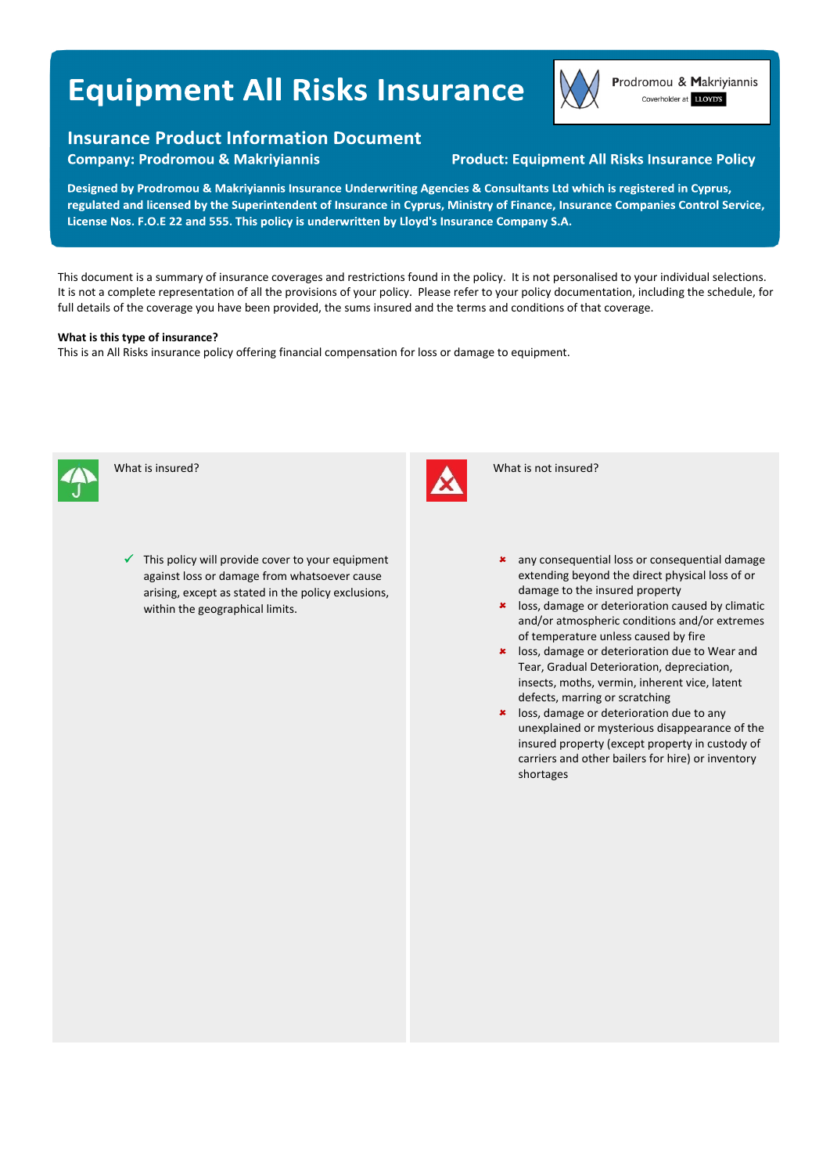# **Equipment All Risks Insurance**

# **Insurance Product Information Document**

**Company: Prodromou & Makriyiannis** 

# **Product: Equipment All Risks Insurance Policy**

Designed by Prodromou & Makriyiannis Insurance Underwriting Agencies & Consultants Ltd which is registered in Cyprus, regulated and licensed by the Superintendent of Insurance in Cyprus, Ministry of Finance, Insurance Companies Control Service, License Nos. F.O.E 22 and 555. This policy is underwritten by Lloyd's Insurance Company S.A.

This document is a summary of insurance coverages and restrictions found in the policy. It is not personalised to your individual selections. It is not a complete representation of all the provisions of your policy. Please refer to your policy documentation, including the schedule, for full details of the coverage you have been provided, the sums insured and the terms and conditions of that coverage.

### **What is this type of insurance?**

This is an All Risks insurance policy offering financial compensation for loss or damage to equipment.



What is insured?

 This policy will provide cover to your equipment against loss or damage from whatsoever cause arising, except as stated in the policy exclusions, within the geographical limits.



What is not insured?

- \* any consequential loss or consequential damage extending beyond the direct physical loss of or damage to the insured property
- **\*** loss, damage or deterioration caused by climatic and/or atmospheric conditions and/or extremes of temperature unless caused by fire
- **\*** loss, damage or deterioration due to Wear and Tear, Gradual Deterioration, depreciation, insects, moths, vermin, inherent vice, latent defects, marring or scratching
- **\*** loss, damage or deterioration due to any unexplained or mysterious disappearance of the insured property (except property in custody of carriers and other bailers for hire) or inventory shortages



Prodromou & Makriyiannis Coverholder at LLOYD'S